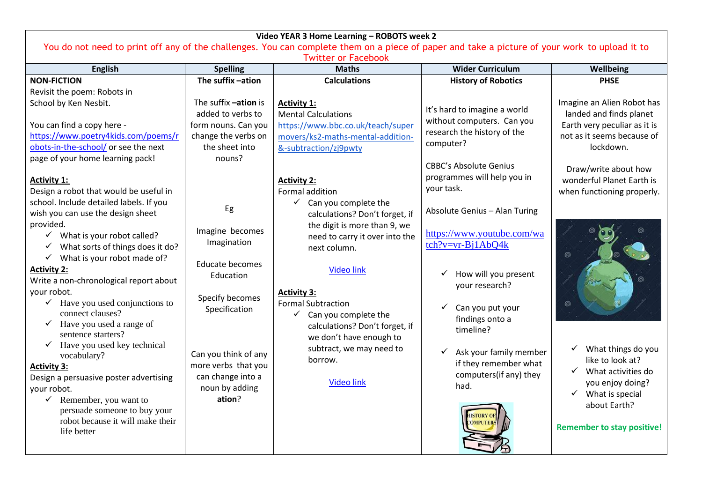| Video YEAR 3 Home Learning - ROBOTS week 2                                                                                                                                                                                                                                                                                                                                                                                                                                                                                                                                                                                       |                                                                                                                     |                                                                                                                                                                                                                                                                                                                         |                                                                                                                                               |                                                                                                                                                                                 |  |
|----------------------------------------------------------------------------------------------------------------------------------------------------------------------------------------------------------------------------------------------------------------------------------------------------------------------------------------------------------------------------------------------------------------------------------------------------------------------------------------------------------------------------------------------------------------------------------------------------------------------------------|---------------------------------------------------------------------------------------------------------------------|-------------------------------------------------------------------------------------------------------------------------------------------------------------------------------------------------------------------------------------------------------------------------------------------------------------------------|-----------------------------------------------------------------------------------------------------------------------------------------------|---------------------------------------------------------------------------------------------------------------------------------------------------------------------------------|--|
| You do not need to print off any of the challenges. You can complete them on a piece of paper and take a picture of your work to upload it to                                                                                                                                                                                                                                                                                                                                                                                                                                                                                    |                                                                                                                     |                                                                                                                                                                                                                                                                                                                         |                                                                                                                                               |                                                                                                                                                                                 |  |
| <b>Twitter or Facebook</b><br><b>Maths</b><br><b>Wider Curriculum</b><br><b>English</b><br><b>Spelling</b><br>Wellbeing                                                                                                                                                                                                                                                                                                                                                                                                                                                                                                          |                                                                                                                     |                                                                                                                                                                                                                                                                                                                         |                                                                                                                                               |                                                                                                                                                                                 |  |
| <b>NON-FICTION</b>                                                                                                                                                                                                                                                                                                                                                                                                                                                                                                                                                                                                               | The suffix -ation                                                                                                   | <b>Calculations</b>                                                                                                                                                                                                                                                                                                     | <b>History of Robotics</b>                                                                                                                    | <b>PHSE</b>                                                                                                                                                                     |  |
| Revisit the poem: Robots in                                                                                                                                                                                                                                                                                                                                                                                                                                                                                                                                                                                                      |                                                                                                                     |                                                                                                                                                                                                                                                                                                                         |                                                                                                                                               |                                                                                                                                                                                 |  |
| School by Ken Nesbit.<br>You can find a copy here -<br>https://www.poetry4kids.com/poems/r<br>obots-in-the-school/ or see the next<br>page of your home learning pack!                                                                                                                                                                                                                                                                                                                                                                                                                                                           | The suffix -ation is<br>added to verbs to<br>form nouns. Can you<br>change the verbs on<br>the sheet into<br>nouns? | <b>Activity 1:</b><br><b>Mental Calculations</b><br>https://www.bbc.co.uk/teach/super<br>movers/ks2-maths-mental-addition-<br>&-subtraction/zj9pwty                                                                                                                                                                     | It's hard to imagine a world<br>without computers. Can you<br>research the history of the<br>computer?<br><b>CBBC's Absolute Genius</b>       | Imagine an Alien Robot has<br>landed and finds planet<br>Earth very peculiar as it is<br>not as it seems because of<br>lockdown.<br>Draw/write about how                        |  |
| <b>Activity 1:</b>                                                                                                                                                                                                                                                                                                                                                                                                                                                                                                                                                                                                               |                                                                                                                     | <b>Activity 2:</b>                                                                                                                                                                                                                                                                                                      | programmes will help you in                                                                                                                   | wonderful Planet Earth is                                                                                                                                                       |  |
| Design a robot that would be useful in<br>school. Include detailed labels. If you                                                                                                                                                                                                                                                                                                                                                                                                                                                                                                                                                |                                                                                                                     | <b>Formal addition</b><br>Can you complete the<br>$\checkmark$                                                                                                                                                                                                                                                          | your task.                                                                                                                                    | when functioning properly.                                                                                                                                                      |  |
| wish you can use the design sheet                                                                                                                                                                                                                                                                                                                                                                                                                                                                                                                                                                                                | Eg                                                                                                                  | calculations? Don't forget, if                                                                                                                                                                                                                                                                                          | Absolute Genius - Alan Turing                                                                                                                 |                                                                                                                                                                                 |  |
| provided.<br>$\checkmark$ What is your robot called?<br>What sorts of things does it do?<br>$\checkmark$<br>What is your robot made of?<br><b>Activity 2:</b><br>Write a non-chronological report about<br>your robot.<br>$\checkmark$ Have you used conjunctions to<br>connect clauses?<br>Have you used a range of<br>$\checkmark$<br>sentence starters?<br>Have you used key technical<br>$\checkmark$<br>vocabulary?<br><b>Activity 3:</b><br>Design a persuasive poster advertising<br>your robot.<br>$\checkmark$ Remember, you want to<br>persuade someone to buy your<br>robot because it will make their<br>life better | Imagine becomes<br>Imagination<br><b>Educate becomes</b><br>Education<br>Specify becomes<br>Specification           | the digit is more than 9, we<br>need to carry it over into the<br>next column.<br><b>Video link</b><br><b>Activity 3:</b><br><b>Formal Subtraction</b><br>$\checkmark$<br>Can you complete the<br>calculations? Don't forget, if<br>we don't have enough to<br>subtract, we may need to<br>borrow.<br><b>Video link</b> | https://www.youtube.com/wa<br>tch?v=vr-Bj1AbQ4k<br>How will you present<br>your research?<br>Can you put your<br>findings onto a<br>timeline? |                                                                                                                                                                                 |  |
|                                                                                                                                                                                                                                                                                                                                                                                                                                                                                                                                                                                                                                  | Can you think of any<br>more verbs that you<br>can change into a<br>noun by adding<br>ation?                        |                                                                                                                                                                                                                                                                                                                         | Ask your family member<br>✓<br>if they remember what<br>computers(if any) they<br>had.                                                        | What things do you<br>✓<br>like to look at?<br>✓<br>What activities do<br>you enjoy doing?<br>$\checkmark$ What is special<br>about Earth?<br><b>Remember to stay positive!</b> |  |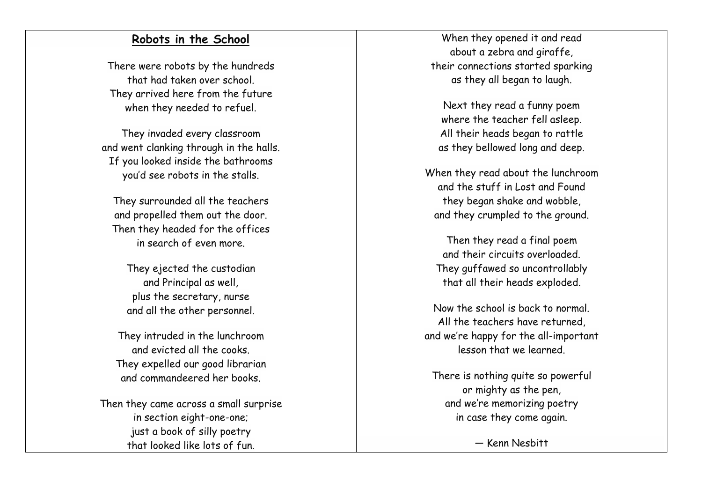### **Robots in the School**

There were robots by the hundreds that had taken over school. They arrived here from the future when they needed to refuel.

They invaded every classroom and went clanking through in the halls. If you looked inside the bathrooms you'd see robots in the stalls.

They surrounded all the teachers and propelled them out the door. Then they headed for the offices in search of even more.

They ejected the custodian and Principal as well, plus the secretary, nurse and all the other personnel.

They intruded in the lunchroom and evicted all the cooks. They expelled our good librarian and commandeered her books.

Then they came across a small surprise in section eight -one -one; just a book of silly poetry that looked like lots of fun.

When they opened it and read about a zebra and giraffe, their connections started sparking as they all began to laugh.

Next they read a funny poem where the teacher fell asleep. All their heads began to rattle as they bellowed long and deep.

When they read about the lunchroom and the stuff in Lost and Found they began shake and wobble, and they crumpled to the ground.

Then they read a final poem and their circuits overloaded. They guffawed so uncontrollably that all their heads exploded.

Now the school is back to normal. All the teachers have returned, and we're happy for the all -important lesson that we learned.

There is nothing quite so powerful or mighty as the pen, and we're memorizing poetry in case they come again.

— Kenn Nesbitt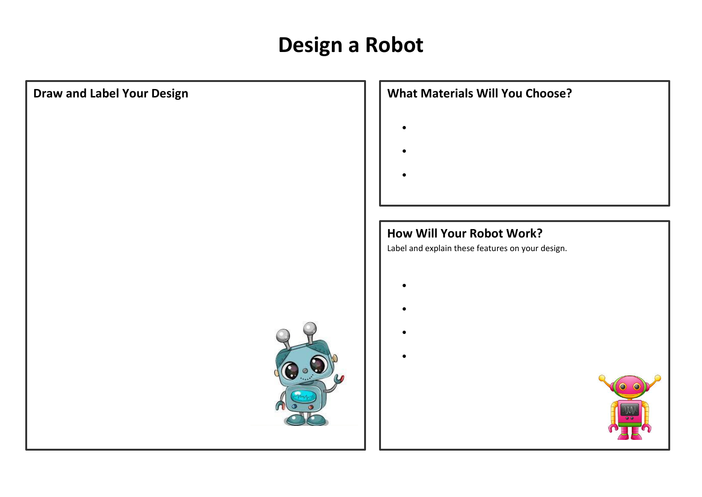# **Design a Robot**



- 
- 
- 
- 

# **How Will Your Robot Work?**

Label and explain these features on your design.

- 
- 
- 
- 
- 

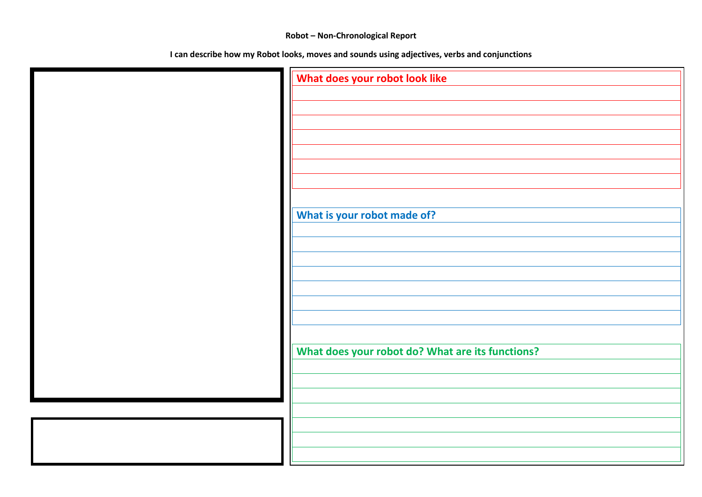## **Robot – Non-Chronological Report**

**I can describe how my Robot looks, moves and sounds using adjectives, verbs and conjunctions**

| What does your robot look like                   |
|--------------------------------------------------|
|                                                  |
|                                                  |
|                                                  |
|                                                  |
|                                                  |
|                                                  |
|                                                  |
|                                                  |
|                                                  |
|                                                  |
|                                                  |
|                                                  |
| What is your robot made of?                      |
|                                                  |
|                                                  |
|                                                  |
|                                                  |
|                                                  |
|                                                  |
|                                                  |
|                                                  |
|                                                  |
|                                                  |
|                                                  |
| What does your robot do? What are its functions? |
|                                                  |
|                                                  |
|                                                  |
|                                                  |
|                                                  |
|                                                  |
|                                                  |
|                                                  |
|                                                  |
|                                                  |
|                                                  |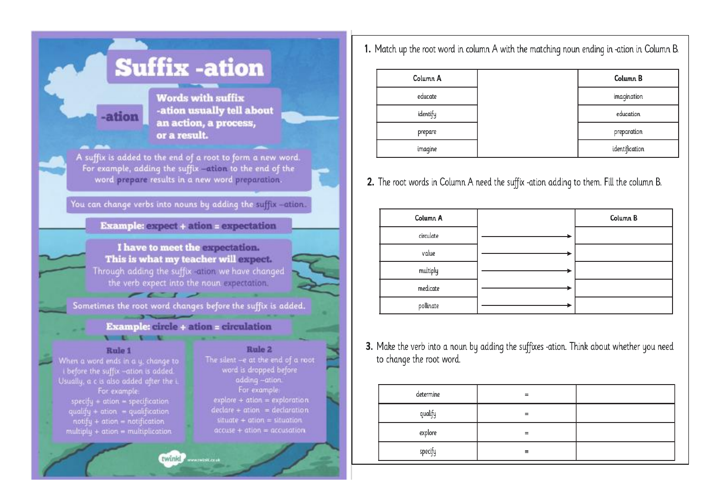| <b>Suffix-ation</b>                                                                                                                                                                                                                                                                         |                                                                                                                                                                                                                                                                    |
|---------------------------------------------------------------------------------------------------------------------------------------------------------------------------------------------------------------------------------------------------------------------------------------------|--------------------------------------------------------------------------------------------------------------------------------------------------------------------------------------------------------------------------------------------------------------------|
| <b>ation</b><br>or a result.                                                                                                                                                                                                                                                                | <b>Words with suffix</b><br>-ation usually tell about<br>an action, a process,                                                                                                                                                                                     |
| A suffix is added to the end of a root to form a new word.<br>For example, adding the suffix -attion to the end of the<br>word prepare results in a new word preparation.                                                                                                                   |                                                                                                                                                                                                                                                                    |
| You can change verbs into nouns by adding the suffix sations.                                                                                                                                                                                                                               |                                                                                                                                                                                                                                                                    |
| <b>Example: expect + ation = expectation</b>                                                                                                                                                                                                                                                |                                                                                                                                                                                                                                                                    |
| I have to meet the expectation.<br>This is what my teacher will expect.<br>Through adding the suffix salion we have changed<br>the verb expect into the noun expectation.                                                                                                                   |                                                                                                                                                                                                                                                                    |
| Sometimes the root word changes before the suffix is added.                                                                                                                                                                                                                                 |                                                                                                                                                                                                                                                                    |
| <b>Example: circle + ation = circulation</b>                                                                                                                                                                                                                                                |                                                                                                                                                                                                                                                                    |
| Rule 1<br>When a word ends in a y, change to<br>before the suffix -ation is added.<br>Usually, a c is also added after the i.<br>For example:<br>$specification = specification$<br>qualify + ation = qualification<br>$notify + ation = notification$<br>multiply + ation = multiplication | Rule 2<br>The silent -- at the end of a root<br>word is dropped before<br>adding-ation.<br>For example:<br>$explore + ation = exploration$<br>$\text{dedare} + \text{ation} = \text{dedaration}$<br>$situate + ation = situation$<br>$accuse + ation = accusation$ |
| twinkly www.wist.com                                                                                                                                                                                                                                                                        |                                                                                                                                                                                                                                                                    |

1. Match up the root word in column A with the matching noun ending in -ation in Column B.

| Column A | Column B       |
|----------|----------------|
| educate  | imagination    |
| identify | education      |
| prepare  | preparation    |
| imagine  | identification |

2. The root words in Column A need the suffix -ation adding to them. Fill the column B.

| Column A  | Column B |
|-----------|----------|
| circulate |          |
| value     |          |
| multiply  |          |
| medicate  |          |
| pollinate |          |

3. Make the verb into a noun by adding the suffixes -ation. Think about whether you need to change the root word.

| determine |  |
|-----------|--|
| qualify   |  |
| explore   |  |
| specify   |  |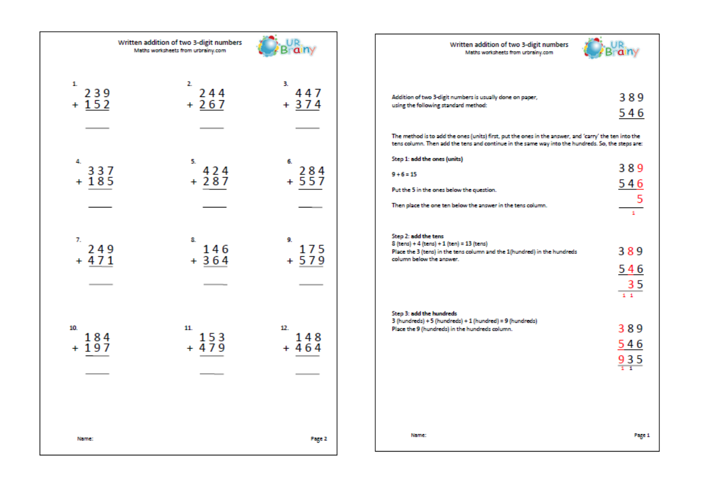|                      | Written addition of two 3-digit numbers<br>Maths worksheets from urbrainy.com | $\mathbf{a}$         | Written addition of two 3-digit numbers<br>Maths worksheets from urbrainy.com                                                                                                                                                                                                                           |        |
|----------------------|-------------------------------------------------------------------------------|----------------------|---------------------------------------------------------------------------------------------------------------------------------------------------------------------------------------------------------------------------------------------------------------------------------------------------------|--------|
| 1.<br>239<br>$+ 152$ | 2.<br>244<br>$+267$                                                           | 3.<br>447<br>$+374$  | 389<br>Addition of two 3-digit numbers is usually done on paper,<br>using the following standard method:<br>546<br>The method is to add the ones (units) first, put the ones in the answer, and 'carry' the ten into the                                                                                |        |
| 4.<br>337<br>$+185$  | 5.<br>424<br>$+287$                                                           | 6.<br>284<br>$+557$  | tens column. Then add the tens and continue in the same way into the hundreds. So, the steps are:<br>Step 1: add the ones (units)<br>389<br>$9 + 6 = 15$<br>546<br>Put the 5 in the ones below the question.<br>$\overline{\phantom{0}}$<br>Then place the one ten below the answer in the tens column. |        |
| 7.<br>249<br>$+471$  | 8.<br>146<br>$+364$                                                           | 9.<br>175<br>$+579$  | Step 2: add the tens<br>8 (tens) + 4 (tens) + 1 (ten) = 13 (tens)<br>389<br>Place the 3 (tens) in the tens column and the 1(hundred) in the hundreds<br>column below the answer.<br>546<br>$\frac{35}{11}$                                                                                              |        |
| 10.<br>184<br>$+197$ | 11.<br>153<br>$+479$                                                          | 12.<br>148<br>$+464$ | Step 3: add the hundreds<br>3 (hundreds) + 5 (hundreds) + 1 (hundred) = 9 (hundreds)<br>389<br>Place the 9 (hundreds) in the hundreds column.<br>546<br>935                                                                                                                                             |        |
| Name:                |                                                                               | Page 2               | Name:                                                                                                                                                                                                                                                                                                   | Page 1 |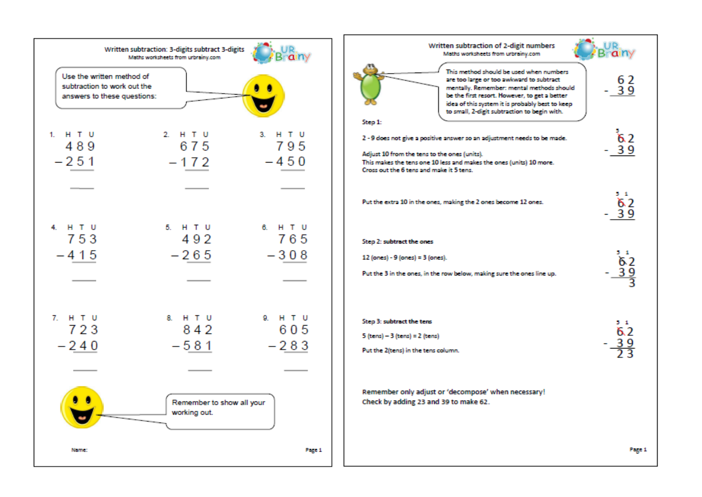

Page 1

Brainy

62

 $\overline{6}$  2

 $-39$ 

 $5 - 1$  $\delta$  2

 $-39$ 

 $5 - 1$ 

 $-\frac{39}{3}$ 

 $5 - 1$ 

 $\frac{39}{23}$ 

62

6.2

 $-39$